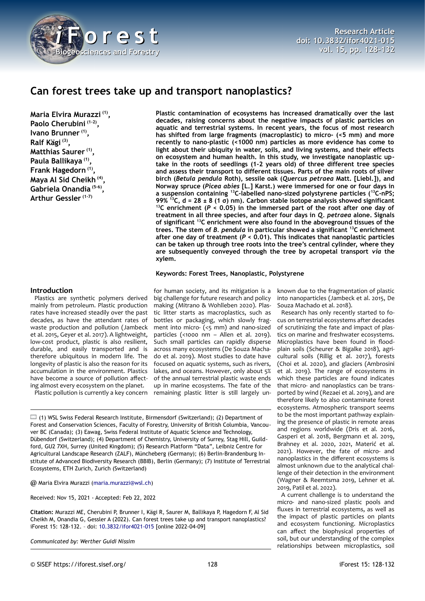

# **Can forest trees take up and transport nanoplastics?**

**Maria Elvira Murazzi (1) , Paolo Cherubini (1-2) , Ivano Brunner (1) , Ralf Kägi (3) , Matthias Saurer (1) , Paula Ballikaya (1) , Frank Hagedorn (1) , Maya Al Sid Cheikh (4) , Gabriela Onandia (5-6) , Arthur Gessler (1-7)**

#### **Introduction**

Plastics are synthetic polymers derived mainly from petroleum. Plastic production rates have increased steadily over the past decades, as have the attendant rates of waste production and pollution (Jambeck et al. 2015, Geyer et al. 2017). A lightweight, low-cost product, plastic is also resilient, durable, and easily transported and is therefore ubiquitous in modern life. The longevity of plastic is also the reason for its accumulation in the environment. Plastics have become a source of pollution affecting almost every ecosystem on the planet.

Plastic pollution is currently a key concern

**Plastic contamination of ecosystems has increased dramatically over the last decades, raising concerns about the negative impacts of plastic particles on aquatic and terrestrial systems. In recent years, the focus of most research has shifted from large fragments (macroplastic) to micro- (<5 mm) and more recently to nano-plastic (<1000 nm) particles as more evidence has come to light about their ubiquity in water, soils, and living systems, and their effects on ecosystem and human health. In this study, we investigate nanoplastic uptake in the roots of seedlings (1-2 years old) of three different tree species and assess their transport to different tissues. Parts of the main roots of silver birch (***Betula pendula* **Roth), sessile oak (***Quercus petraea* **Matt. [Liebl.]), and Norway spruce (***Picea abies* **[L.] Karst.) were immersed for one or four days in a suspension containing <sup>13</sup>C-labelled nano-sized polystyrene particles (<sup>13</sup>C-nPS; 99% <sup>13</sup>C, d = 28 ± 8 (1 σ) nm). Carbon stable isotope analysis showed significant <sup>13</sup>C enrichment (***P* **< 0.05) in the immersed part of the root after one day of treatment in all three species, and after four days in** *Q. petraea* **alone. Signals of significant <sup>13</sup>C enrichment were also found in the aboveground tissues of the trees. The stem of** *B. pendula* **in particular showed a significant <sup>13</sup>C enrichment after one day of treatment (***P* **< 0.01). This indicates that nanoplastic particles can be taken up through tree roots into the tree's central cylinder, where they are subsequently conveyed through the tree by acropetal transport** *via* **the xylem.**

#### **Keywords: Forest Trees, Nanoplastic, Polystyrene**

for human society, and its mitigation is a big challenge for future research and policy making (Mitrano & Wohlleben 2020). Plastic litter starts as macroplastics, such as bottles or packaging, which slowly fragment into micro- (<5 mm) and nano-sized particles (<1000 nm – Allen et al. 2019). Such small particles can rapidly disperse across many ecosystems (De Souza Machado et al. 2019). Most studies to date have focused on aquatic systems, such as rivers, lakes, and oceans. However, only about 5% of the annual terrestrial plastic waste ends up in marine ecosystems. The fate of the remaining plastic litter is still largely un-

 $\Box$  (1) WSL Swiss Federal Research Institute, Birmensdorf (Switzerland); (2) Department of Forest and Conservation Sciences, Faculty of Forestry, University of British Columbia, Vancouver BC (Canada); (3) Eawag, Swiss Federal Institute of Aquatic Science and Technology, Dübendorf (Switzerland); (4) Department of Chemistry, University of Surrey, Stag Hill, Guildford, GU2 7XH, Surrey (United Kingdom); (5) Research Platform "Data", Leibniz Centre for Agricultural Landscape Research (ZALF), Müncheberg (Germany); (6) Berlin-Brandenburg Institute of Advanced Biodiversity Research (BBIB), Berlin (Germany); (7) Institute of Terrestrial Ecosystems, ETH Zurich, Zurich (Switzerland)

@ Maria Elvira Murazzi ([maria.murazzi@wsl.ch\)](mailto:maria.murazzi@wsl.ch)

Received: Nov 15, 2021 - Accepted: Feb 22, 2022

**Citation:** Murazzi ME, Cherubini P, Brunner I, Kägi R, Saurer M, Ballikaya P, Hagedorn F, Al Sid Cheikh M, Onandia G, Gessler A (2022). Can forest trees take up and transport nanoplastics? iForest 15: 128-132. – doi: [10.3832/ifor4021-015](http://www.sisef.it/iforest/contents/?id=ifor4021-015) [online 2022-04-09]

*Communicated by: Werther Guidi Nissim*

known due to the fragmentation of plastic into nanoparticles (Jambeck et al. 2015, De Souza Machado et al. 2018).

Research has only recently started to focus on terrestrial ecosystems after decades of scrutinizing the fate and impact of plastics on marine and freshwater ecosystems. Microplastics have been found in floodplain soils (Scheurer & Bigalke 2018), agricultural soils (Rillig et al. 2017), forests (Choi et al. 2020), and glaciers (Ambrosini et al. 2019). The range of ecosystems in which these particles are found indicates that micro- and nanoplastics can be transported by wind (Rezaei et al. 2019), and are therefore likely to also contaminate forest ecosystems. Atmospheric transport seems to be the most important pathway explaining the presence of plastic in remote areas and regions worldwide (Dris et al. 2016, Gasperi et al. 2018, Bergmann et al. 2019, Brahney et al. 2020, 2021, Materić et al. 2021). However, the fate of micro- and nanoplastics in the different ecosystems is almost unknown due to the analytical challenge of their detection in the environment (Wagner & Reemtsma 2019, Lehner et al. 2019, Patil et al. 2022).

A current challenge is to understand the micro- and nano-sized plastic pools and fluxes in terrestrial ecosystems, as well as the impact of plastic particles on plants and ecosystem functioning. Microplastics can affect the biophysical properties of soil, but our understanding of the complex relationships between microplastics, soil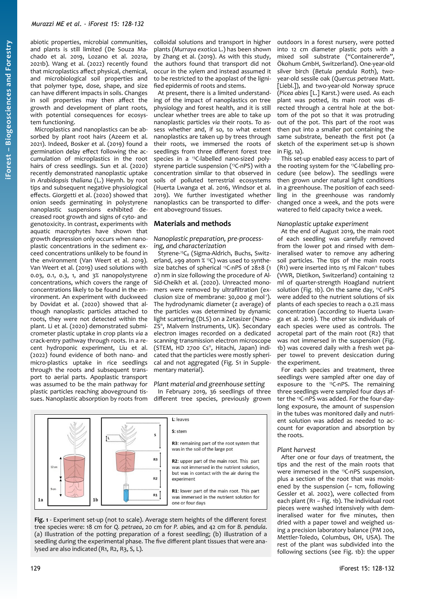abiotic properties, microbial communities, and plants is still limited (De Souza Machado et al. 2019, Lozano et al. 2021a, 2021b). Wang et al. (2022) recently found that microplastics affect physical, chemical, and microbiological soil properties and that polymer type, dose, shape, and size can have different impacts in soils. Changes in soil properties may then affect the growth and development of plant roots, with potential consequences for ecosystem functioning.

Microplastics and nanoplastics can be absorbed by plant root hairs (Azeem et al. 2021). Indeed, Bosker et al. (2019) found a germination delay effect following the accumulation of microplastics in the root hairs of cress seedlings. Sun et al. (2020) recently demonstrated nanoplastic uptake in *Arabidopsis thaliana* (L.) Heynh. by root tips and subsequent negative physiological effects. Giorgetti et al. (2020) showed that onion seeds germinating in polystyrene nanoplastic suspensions exhibited decreased root growth and signs of cyto- and genotoxicity. In contrast, experiments with aquatic macrophytes have shown that growth depression only occurs when nanoplastic concentrations in the sediment exceed concentrations unlikely to be found in the environment (Van Weert et al. 2019). Van Weert et al. (2019) used solutions with 0.03, 0.1, 0.3, 1, and 3% nanopolystyrene concentrations, which covers the range of concentrations likely to be found in the environment. An experiment with duckweed by Dovidat et al. (2020) showed that although nanoplastic particles attached to roots, they were not detected within the plant. Li et al. (2020) demonstrated submicrometer plastic uptake in crop plants *via* a crack-entry pathway through roots. In a recent hydroponic experiment, Liu et al. (2022) found evidence of both nano- and micro-plastics uptake in rice seedlings through the roots and subsequent transport to aerial parts. Apoplastic transport was assumed to be the main pathway for plastic particles reaching aboveground tissues. Nanoplastic absorption by roots from

colloidal solutions and transport in higher plants (*Murraya exotica* L.) has been shown by Zhang et al. (2019). As with this study, the authors found that transport did not occur in the xylem and instead assumed it to be restricted to the apoplast of the lignified epidermis of roots and stems.

At present, there is a limited understanding of the impact of nanoplastics on tree physiology and forest health, and it is still unclear whether trees are able to take up nanoplastic particles *via* their roots. To assess whether and, if so, to what extent nanoplastics are taken up by trees through their roots, we immersed the roots of seedlings from three different forest tree species in a 13C-labelled nano-sized polystyrene particle suspension (<sup>13</sup>C-nPS) with a concentration similar to that observed in soils of polluted terrestrial ecosystems (Huerta Lwanga et al. 2016, Windsor et al. 2019). We further investigated whether nanoplastics can be transported to different aboveground tissues.

### **Materials and methods**

### *Nanoplastic preparation, pre-processing, and characterization*

Styrene-<sup>13</sup>C<sub>8</sub> (Sigma-Aldrich, Buchs, Switzerland, ≥99 atom % 13C) was used to synthesize batches of spherical 13C-nPS of 28±8 (1 σ) nm in size following the procedure of Al-Sid-Cheikh et al. (2020). Unreacted monomers were removed by ultrafiltration (exclusion size of membrane:  $30,000 \text{ g mol}^{-1}$ ). The hydrodynamic diameter (z average) of the particles was determined by dynamic light scattering (DLS) on a Zetasizer (Nano-ZS® , Malvern Instruments, UK). Secondary electron images recorded on a dedicated scanning transmission electron microscope (STEM, HD 2700 Cs® , Hitachi, Japan) indicated that the particles were mostly spherical and not aggregated (Fig. S1 in Supplementary material).

### *Plant material and greenhouse setting*

In February 2019, 36 seedlings of three different tree species, previously grown



<span id="page-1-0"></span>**Fig. 1** - Experiment set-up (not to scale). Average stem heights of the different forest tree species were: 18 cm for *Q. petraea*, 20 cm for *P. abies,* and 42 cm for *B. pendula*. (a) Illustration of the potting preparation of a forest seedling; (b) illustration of a seedling during the experimental phase. The five different plant tissues that were analysed are also indicated (R1, R2, R3, S, L).

outdoors in a forest nursery, were potted into 12 cm diameter plastic pots with a mixed soil substrate ("Containererde", Ökohum GmbH, Switzerland). One-year-old silver birch (*Betula pendula* Roth), twoyear-old sessile oak (*Quercus petraea* Matt. [Liebl.]), and two-year-old Norway spruce (*Picea abies* [L.] Karst.) were used. As each plant was potted, its main root was directed through a central hole at the bottom of the pot so that it was protruding out of the pot. This part of the root was then put into a smaller pot containing the same substrate, beneath the first pot (a sketch of the experiment set-up is shown in [Fig. 1a](#page-1-0)).

This set-up enabled easy access to part of the rooting system for the 13C-labelling procedure (see below). The seedlings were then grown under natural light conditions in a greenhouse. The position of each seedling in the greenhouse was randomly changed once a week, and the pots were watered to field capacity twice a week.

### *Nanoplastic uptake experiment*

At the end of August 2019, the main root of each seedling was carefully removed from the lower pot and rinsed with demineralised water to remove any adhering soil particles. The tips of the main roots (R1) were inserted into 15 ml Falcon® tubes (VWR, Dietikon, Switzerland) containing 12 ml of quarter-strength Hoagland nutrient solution ([Fig. 1](#page-1-0)b). On the same day, <sup>13</sup>C-nPS were added to the nutrient solutions of six plants of each species to reach a 0.2% mass concentration (according to Huerta Lwanga et al. 2016). The other six individuals of each species were used as controls. The acropetal part of the main root (R2) that was not immersed in the suspension [\(Fig.](#page-1-0) [1b](#page-1-0)) was covered daily with a fresh wet paper towel to prevent desiccation during the experiment.

For each species and treatment, three seedlings were sampled after one day of exposure to the <sup>13</sup>C-nPS. The remaining three seedlings were sampled four days after the 13C-nPS was added. For the four-daylong exposure, the amount of suspension in the tubes was monitored daily and nutrient solution was added as needed to account for evaporation and absorption by the roots.

### *Plant harvest*

After one or four days of treatment, the tips and the rest of the main roots that were immersed in the <sup>13</sup>C-nPS suspension, plus a section of the root that was moistened by the suspension ( $\sim$  1cm, following Gessler et al. 2002), were collected from each plant (R1 – [Fig. 1](#page-1-0)b). The individual root pieces were washed intensively with demineralised water for five minutes, then dried with a paper towel and weighed using a precision laboratory balance (PM 200, Mettler-Toledo, Columbus, OH, USA). The rest of the plant was subdivided into the following sections (see [Fig. 1b](#page-1-0)): the upper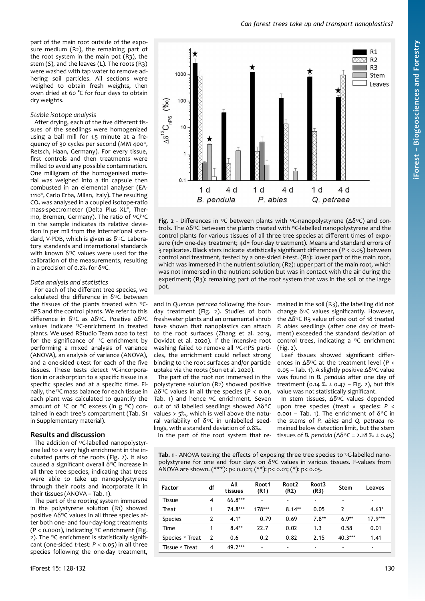part of the main root outside of the exposure medium (R2), the remaining part of the root system in the main pot (R3), the stem (S), and the leaves (L). The roots (R3) were washed with tap water to remove adhering soil particles. All sections were weighed to obtain fresh weights, then oven dried at 60 °C for four days to obtain dry weights.

#### *Stable isotope analysis*

After drying, each of the five different tissues of the seedlings were homogenized using a ball mill for 1.5 minute at a frequency of 30 cycles per second (MM 400® , Retsch, Haan, Germany). For every tissue, first controls and then treatments were milled to avoid any possible contamination. One milligram of the homogenised material was weighed into a tin capsule then combusted in an elemental analyser (EA-1110® , Carlo Erba, Milan, Italy). The resulting CO<sub>2</sub> was analysed in a coupled isotope-ratio mass-spectrometer (Delta Plus XL® , Thermo, Bremen, Germany). The ratio of <sup>13</sup>C/<sup>12</sup>C in the sample indicates its relative deviation in per mil from the international standard, V-PDB, which is given as  $\delta^{13}$ C. Laboratory standards and international standards with known  $\delta^{13}$ C values were used for the calibration of the measurements, resulting in a precision of 0.2‰ for  $\delta$ <sup>13</sup>C.

#### *Data analysis and statistics*

For each of the different tree species, we calculated the difference in  $\delta^{13}$ C between the tissues of the plants treated with 13CnPS and the control plants. We refer to this difference in δ13C as Δδ13C. Positive Δδ13C values indicate 13C-enrichment in treated plants. We used RStudio Team 2020 to test for the significance of 13C enrichment by performing a mixed analysis of variance (ANOVA), an analysis of variance (ANOVA), and a one-sided *t*-test for each of the five tissues. These tests detect <sup>13</sup>C-incorporation in or adsorption to a specific tissue in a specific species and at a specific time. Finally, the 13C mass balance for each tissue in each plant was calculated to quantify the amount of <sup>13</sup>C or <sup>13</sup>C excess (in g<sup>13</sup>C) contained in each tree's compartment (Tab. S1 in Supplementary material).

#### **Results and discussion**

The addition of 13C-labelled nanopolystyrene led to a very high enrichment in the incubated parts of the roots [\(Fig. 2](#page-2-1)). It also caused a significant overall  $\delta^{13}$ C increase in all three tree species, indicating that trees were able to take up nanopolystyrene through their roots and incorporate it in their tissues (ANOVA – [Tab. 1](#page-2-0)).

The part of the rooting system immersed in the polystyrene solution (R1) showed positive Δδ13C values in all three species after both one- and four-day-long treatments (*P* < 0.0001), indicating 13C enrichment [\(Fig.](#page-2-1) [2\)](#page-2-1). The 13C enrichment is statistically significant (one-sided *t*-test: *P* < 0.05) in all three species following the one-day treatment,



<span id="page-2-1"></span>**Fig. 2** - Differences in 13C between plants with 13C-nanopolystyrene (Δδ13C) and controls. The Δδ<sup>13</sup>C between the plants treated with <sup>13</sup>C-labelled nanopolystyrene and the control plants for various tissues of all three tree species at different times of exposure (1d= one-day treatment; 4d= four-day treatment). Means and standard errors of 3 replicates. Black stars indicate statistically significant differences (*P* < 0.05) between control and treatment, tested by a one-sided *t*-test. (R1): lower part of the main root, which was immersed in the nutrient solution; (R2): upper part of the main root, which was not immersed in the nutrient solution but was in contact with the air during the experiment; (R3): remaining part of the root system that was in the soil of the large pot.

and in *Quercus petraea* following the fourday treatment [\(Fig. 2](#page-2-1)). Studies of both freshwater plants and an ornamental shrub have shown that nanoplastics can attach to the root surfaces (Zhang et al. 2019, Dovidat et al. 2020). If the intensive root washing failed to remove all <sup>13</sup>C-nPS particles, the enrichment could reflect strong binding to the root surfaces and/or particle uptake via the roots (Sun et al. 2020).

The part of the root not immersed in the polystyrene solution (R2) showed positive Δδ13C values in all three species (*P* < 0.01, [Tab. 1](#page-2-0)) and hence 13C enrichment. Seven out of 18 labelled seedlings showed Δδ13C values > 5‰, which is well above the natural variability of  $\delta^{13}C$  in unlabelled seedlings, with a standard deviation of 0.8‰.

mained in the soil (R3), the labelling did not change  $\delta^{13}$ C values significantly. However, the  $Δδ<sup>13</sup>CR3$  value of one out of 18 treated *P. abies* seedlings (after one day of treatment) exceeded the standard deviation of control trees, indicating a 13C enrichment [\(Fig. 2](#page-2-1)).

Leaf tissues showed significant differences in Δδ13C at the treatment level (*P* < 0.05 – [Tab. 1\)](#page-2-0). A slightly positive  $Δδ<sup>13</sup>C$  value was found in *B. pendula* after one day of treatment (0.14  $% = 0.47 - Fig. 2$  $% = 0.47 - Fig. 2$ ), but this value was not statistically significant.

In stem tissues, Δδ13C values depended upon tree species (treat × species: *P* < 0.001 – [Tab. 1\)](#page-2-0). The enrichment of  $\delta^{13}C$  in the stems of *P. abies* and *Q. petraea* remained below detection limit, but the stem tissues of *B. pendula*  $(Δδ<sup>13</sup>C = 2.28 % = 0.45)$ 

In the part of the root system that re-

<span id="page-2-0"></span>Tab. 1 - ANOVA testing the effects of exposing three tree species to <sup>13</sup>C-labelled nanopolystyrene for one and four days on  $\delta^{13}C$  values in various tissues. F-values from ANOVA are shown. (\*\*\*): p< 0.001; (\*\*): p< 0.01; (\*): p< 0.05.

| <b>Factor</b>   | df            | All<br>tissues | Root1<br>(R1) | Root <sub>2</sub><br>(R2) | Root <sub>3</sub><br>(R3) | Stem      | Leaves         |
|-----------------|---------------|----------------|---------------|---------------------------|---------------------------|-----------|----------------|
| <b>Tissue</b>   | 4             | 66.8***        | ٠             | $\blacksquare$            | ۰                         | -         | $\blacksquare$ |
| Treat           |               | 74.8***        | 178***        | $8.14**$                  | 0.05                      | 2         | $4.63*$        |
| <b>Species</b>  | 2             | $4.1*$         | 0.79          | 0.69                      | $7.8**$                   | $6.9**$   | $17.9***$      |
| Time            |               | $8.4**$        | 22.7          | 0.02                      | 1.3                       | 0.58      | 0.01           |
| Species × Treat | $\mathcal{P}$ | 0.6            | 0.2           | 0.82                      | 2.15                      | $40.3***$ | 1.41           |
| Tissue × Treat  | 4             | 49.2***        | ۰             | $\blacksquare$            | ۰                         | -         | $\blacksquare$ |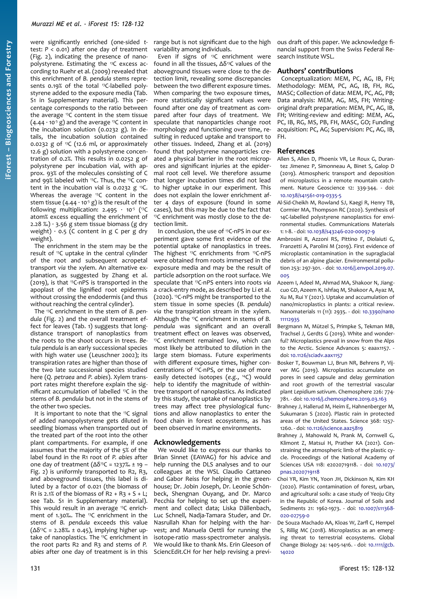were significantly enriched (one-sided *t*test: *P* < 0.01) after one day of treatment ([Fig. 2](#page-2-1)), indicating the presence of nanopolystyrene. Estimating the 13C excess according to Ruehr et al. (2009) revealed that this enrichment of *B. pendula* stems represents 0.19% of the total <sup>13</sup>C-labelled polystyrene added to the exposure media (Tab. S1 in Supplementary material). This percentage corresponds to the ratio between the average  $^{13}$ C content in the stem tissue  $(4.44 \cdot 10^{5} \text{ g})$  and the average <sup>13</sup>C content in the incubation solution (0.0232 g). In details, the incubation solution contained 0.0232 g of  ${}^{13}C$  (12.6 ml, or approximately 12.6 g) solution with a polystyrene concentration of 0.2%. This results in 0.0252 g of polystyrene per incubation vial, with approx. 93% of the molecules consisting of C and 99% labeled with <sup>13</sup>C. Thus, the <sup>13</sup>C content in the incubation vial is 0.0232  $g$  <sup>13</sup>C. Whereas the average <sup>13</sup>C content in the stem tissue  $(4.44 \cdot 10^{-5} \text{ g})$  is the result of the following multiplication:  $2.495 \cdot 10^{-5}$  (<sup>13</sup>C atom% excess equalling the enrichment of 2.28 ‰)  $\cdot$  3.56 g stem tissue biomass (g dry weight)  $\cdot$  0.5 (C content in g C per g dry weight).

The enrichment in the stem may be the result of 13C uptake in the central cylinder of the root and subsequent acropetal transport *via* the xylem. An alternative explanation, as suggested by Zhang et al. (2019), is that 13C-nPS is transported in the apoplast of the lignified root epidermis without crossing the endodermis (and thus without reaching the central cylinder).

The 13C enrichment in the stem of *B. pendula* ([Fig. 2\)](#page-2-1) and the overall treatment effect for leaves [\(Tab. 1](#page-2-0)) suggests that longdistance transport of nanoplastics from the roots to the shoot occurs in trees. *Betula pendula* is an early successional species with high water use (Leuschner 2002); its transpiration rates are higher than those of the two late successional species studied here (*Q. petraea* and *P. abies*). Xylem transport rates might therefore explain the significant accumulation of labelled 13C in the stems of *B. pendula* but not in the stems of the other two species.

It is important to note that the 13C signal of added nanopolystyrene gets diluted in seedling biomass when transported out of the treated part of the root into the other plant compartments. For example, if one assumes that the majority of the 5% of the label found in the R1 root of *P. abies* after one day of treatment  $(Δδ<sup>13</sup>C = 1237‰ ± 19 -$ [Fig. 2\)](#page-2-1) is uniformly transported to R2, R3, and aboveground tissues, this label is diluted by a factor of 0.021 (the biomass of R1 is 2.1% of the biomass of  $R_2 + R_3 + S + L$ ; see Tab. S1 in Supplementary material). This would result in an average 13C enrichment of 1.30‰. The <sup>13</sup>C enrichment in the stems of *B. pendula* exceeds this value ( $Δδ<sup>13</sup>C = 2.28% ± 0.45$ ), implying higher uptake of nanoplastics. The 13C enrichment in the root parts R2 and R3 and stems of *P. abies* after one day of treatment is in this

Even if signs of 13C enrichment were found in all the tissues,  $Δδ<sup>13</sup>C$  values of the aboveground tissues were close to the detection limit, revealing some discrepancies between the two different exposure times. When comparing the two exposure times, more statistically significant values were found after one day of treatment as compared after four days of treatment. We speculate that nanoparticles change root morphology and functioning over time, resulting in reduced uptake and transport to other tissues. Indeed, Zhang et al. (2019) found that polystyrene nanoparticles created a physical barrier in the root micropores and significant injuries at the epidermal root cell level. We therefore assume that longer incubation times did not lead to higher uptake in our experiment. This does not explain the lower enrichment after 4 days of exposure (found in some cases), but this may be due to the fact that <sup>13</sup>C enrichment was mostly close to the detection limit.

In conclusion, the use of <sup>13</sup>C-nPS in our experiment gave some first evidence of the potential uptake of nanoplastics in trees. .<br>The highest <sup>13</sup>C enrichments from <sup>13</sup>C-nPS were obtained from roots immersed in the exposure media and may be the result of particle adsorption on the root surface. We speculate that 13C-nPS enters into roots *via* a crack-entry mode, as described by Li et al. (2020). <sup>13</sup>C-nPS might be transported to the stem tissue in some species (*B. pendula) via* the transpiration stream in the xylem. Although the 13C enrichment in stems of *B. pendula* was significant and an overall treatment effect on leaves was observed, <sup>13</sup>C enrichment remained low, which can most likely be attributed to dilution in the large stem biomass. Future experiments with different exposure times, higher concentrations of 13C-nPS, or the use of more easily detected isotopes (*e.g.*, <sup>14</sup>C) would help to identify the magnitude of withintree transport of nanoplastics. As indicated by this study, the uptake of nanoplastics by trees may affect tree physiological functions and allow nanoplastics to enter the food chain in forest ecosystems, as has been observed in marine environments.

#### **Acknowledgements**

We would like to express our thanks to Brian Sinnet (EAWAG) for his advice and help running the DLS analyses and to our colleagues at the WSL Claudio Cattaneo and Gabor Reiss for helping in the greenhouse; Dr. Jobin Joseph, Dr. Leonie Schönbeck, Shengnan Ouyang, and Dr. Marco Pecchia for helping to set up the experiment and collect data; Liska Dällenbach, Luc Schnell, Nadja-Tamara Studer, and Dr. Nasrullah Khan for helping with the harvest; and Manuela Oettli for running the isotope-ratio mass-spectrometer analysis. We would like to thank Ms. Erin Gleeson of SciencEdit.CH for her help revising a previ-

ous draft of this paper. We acknowledge financial support from the Swiss Federal Research Institute WSL.

### **Authors' contributions**

Conceptualization: MEM, PC, AG, IB, FH; Methodology: MEM, PC, AG, IB, FH, RG, MASC; Collection of data: MEM, PC, AG, PB; Data analysis: MEM, AG, MS, FH; Writingoriginal draft preparation: MEM, PC, AG, IB, FH; Writing-review and editing: MEM, AG, PC, IB, RG, MS, PB, FH, MASC, GO; Funding acquisition: PC, AG; Supervision: PC, AG, IB, FH.

#### **References**

- Allen S, Allen D, Phoenix VR, Le Roux G, Durantez Jimenez P, Simonneau A, Binet S, Galop D (2019). Atmospheric transport and deposition of microplastics in a remote mountain catchment. Nature Geoscience 12: 339-344. - doi: [10.1038/s41561-019-0335-5](https://doi.org/10.1038/s41561-019-0335-5)
- Al-Sid-Cheikh M, Rowland SJ, Kaegi R, Henry TB, Cormier MA, Thompson RC (2020). Synthesis of 14C-labelled polystyrene nanoplastics for environmental studies. Communications Materials 1: 1-8. - doi: [10.1038/s43246-020-00097-9](https://doi.org/10.1038/s43246-020-00097-9)
- Ambrosini R, Azzoni RS, Pittino F, Diolaiuti G, Franzetti A, Parolini M (2019). First evidence of microplastic contamination in the supraglacial debris of an alpine glacier. Environmental pollution 253: 297-301. - doi: [10.1016/j.envpol.2019.07.](https://doi.org/10.1016/j.envpol.2019.07.005) [005](https://doi.org/10.1016/j.envpol.2019.07.005)
- Azeem I, Adeel M, Ahmad MA, Shakoor N, Jiangcuo GD, Azeem K, Ishfaq M, Shakoor A, Ayaz M, Xu M, Rui Y (2021). Uptake and accumulation of nano/microplastics in plants: a critical review. Nanomaterials 11 (11): 2935. - doi: [10.3390/nano](https://doi.org/10.3390/nano11112935) [11112935](https://doi.org/10.3390/nano11112935)
- Bergmann M, Mützel S, Primpke S, Tekman MB, Trachsel J, Gerdts G (2019). White and wonderful? Microplastics prevail in snow from the Alps to the Arctic. Science Advances 5: eaax1157. doi: [10.1126/sciadv.aax1157](https://doi.org/10.1126/sciadv.aax1157)
- Bosker T, Bouwman LJ, Brun NR, Behrens P, Vijver MG (2019). Microplastics accumulate on pores in seed capsule and delay germination and root growth of the terrestrial vascular plant *Lepidium sativum*. Chemosphere 226: 774- 781. - doi: [10.1016/j.chemosphere.2019.03.163](https://doi.org/10.1016/j.chemosphere.2019.03.163)
- Brahney J, Hallerud M, Heim E, Hahnenberger M, Sukumaran S (2020). Plastic rain in protected areas of the United States. Science 368: 1257- 1260. - doi: [10.1126/science.aaz5819](https://doi.org/10.1126/science.aaz5819)
- Brahney J, Mahowald N, Prank M, Cornwell G, Klimont Z, Matsui H, Prather KA (2021). Constraining the atmospheric limb of the plastic cycle. Proceedings of the National Academy of Sciences USA 118: e2020719118. - doi: [10.1073/](https://doi.org/10.1073/pnas.2020719118) [pnas.2020719118](https://doi.org/10.1073/pnas.2020719118)
- Choi YR, Kim YN, Yoon JH, Dickinson N, Kim KH (2020). Plastic contamination of forest, urban, and agricultural soils: a case study of Yeoju City in the Republic of Korea. Journal of Soils and Sediments 21: 1962-1973. - doi: [10.1007/s11368-](https://doi.org/10.1007/s11368-020-02759-0) [020-02759-0](https://doi.org/10.1007/s11368-020-02759-0)
- De Souza Machado AA, Kloas W, Zarfl C, Hempel S, Rillig MC (2018). Microplastics as an emerging threat to terrestrial ecosystems. Global Change Biology 24: 1405-1416. - doi: [10.1111/gcb.](https://doi.org/10.1111/gcb.14020) [14020](https://doi.org/10.1111/gcb.14020)